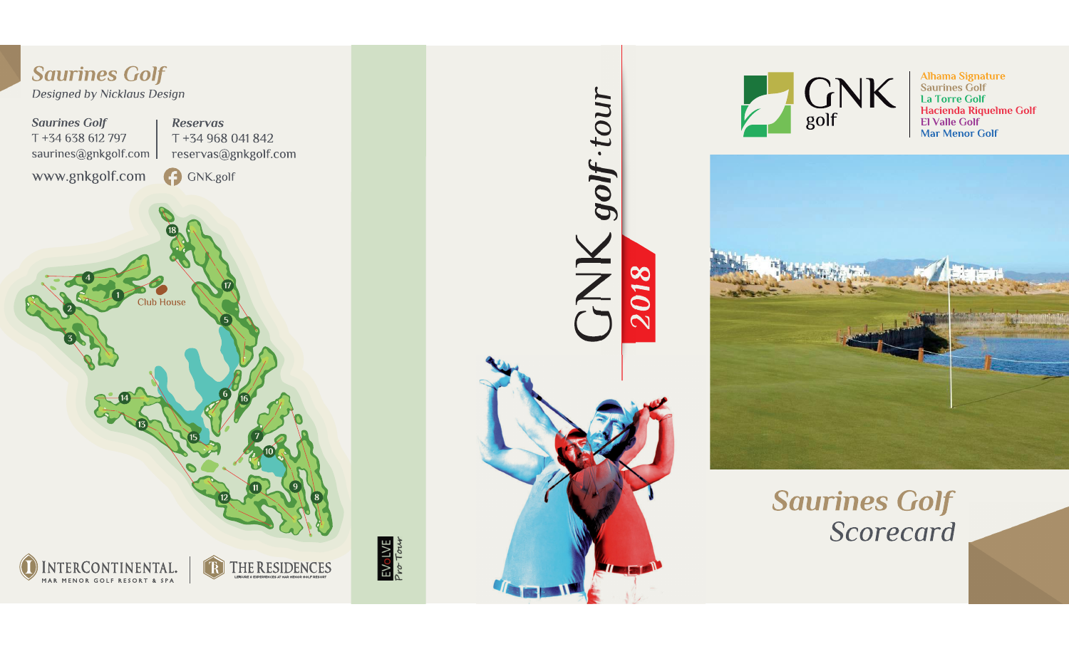